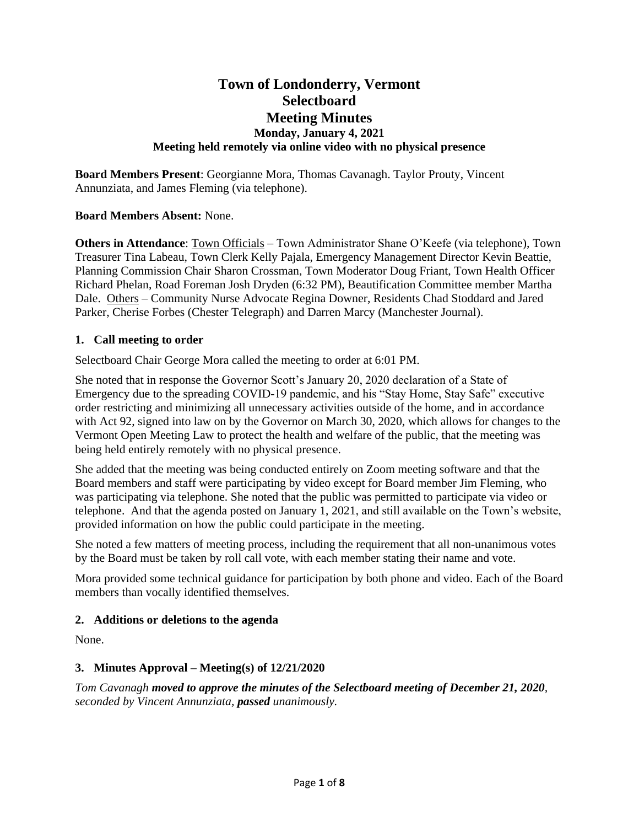# **Town of Londonderry, Vermont Selectboard Meeting Minutes Monday, January 4, 2021 Meeting held remotely via online video with no physical presence**

**Board Members Present**: Georgianne Mora, Thomas Cavanagh. Taylor Prouty, Vincent Annunziata, and James Fleming (via telephone).

**Board Members Absent:** None.

**Others in Attendance**: Town Officials – Town Administrator Shane O'Keefe (via telephone), Town Treasurer Tina Labeau, Town Clerk Kelly Pajala, Emergency Management Director Kevin Beattie, Planning Commission Chair Sharon Crossman, Town Moderator Doug Friant, Town Health Officer Richard Phelan, Road Foreman Josh Dryden (6:32 PM), Beautification Committee member Martha Dale. Others – Community Nurse Advocate Regina Downer, Residents Chad Stoddard and Jared Parker, Cherise Forbes (Chester Telegraph) and Darren Marcy (Manchester Journal).

#### **1. Call meeting to order**

Selectboard Chair George Mora called the meeting to order at 6:01 PM.

She noted that in response the Governor Scott's January 20, 2020 declaration of a State of Emergency due to the spreading COVID-19 pandemic, and his "Stay Home, Stay Safe" executive order restricting and minimizing all unnecessary activities outside of the home, and in accordance with Act 92, signed into law on by the Governor on March 30, 2020, which allows for changes to the Vermont Open Meeting Law to protect the health and welfare of the public, that the meeting was being held entirely remotely with no physical presence.

She added that the meeting was being conducted entirely on Zoom meeting software and that the Board members and staff were participating by video except for Board member Jim Fleming, who was participating via telephone. She noted that the public was permitted to participate via video or telephone. And that the agenda posted on January 1, 2021, and still available on the Town's website, provided information on how the public could participate in the meeting.

She noted a few matters of meeting process, including the requirement that all non-unanimous votes by the Board must be taken by roll call vote, with each member stating their name and vote.

Mora provided some technical guidance for participation by both phone and video. Each of the Board members than vocally identified themselves.

### **2. Additions or deletions to the agenda**

None.

### **3. Minutes Approval – Meeting(s) of 12/21/2020**

*Tom Cavanagh moved to approve the minutes of the Selectboard meeting of December 21, 2020, seconded by Vincent Annunziata, passed unanimously.*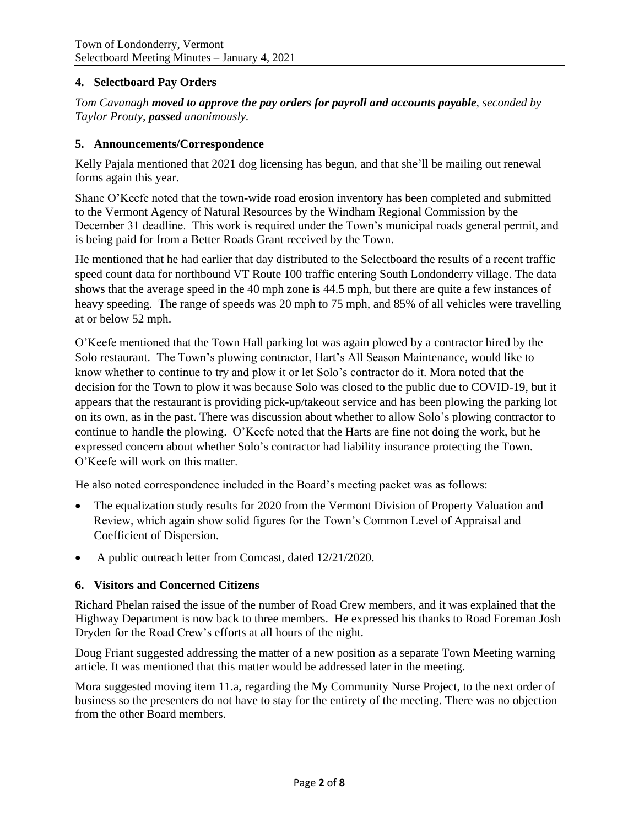### **4. Selectboard Pay Orders**

*Tom Cavanagh moved to approve the pay orders for payroll and accounts payable, seconded by Taylor Prouty, passed unanimously.*

#### **5. Announcements/Correspondence**

Kelly Pajala mentioned that 2021 dog licensing has begun, and that she'll be mailing out renewal forms again this year.

Shane O'Keefe noted that the town-wide road erosion inventory has been completed and submitted to the Vermont Agency of Natural Resources by the Windham Regional Commission by the December 31 deadline. This work is required under the Town's municipal roads general permit, and is being paid for from a Better Roads Grant received by the Town.

He mentioned that he had earlier that day distributed to the Selectboard the results of a recent traffic speed count data for northbound VT Route 100 traffic entering South Londonderry village. The data shows that the average speed in the 40 mph zone is 44.5 mph, but there are quite a few instances of heavy speeding. The range of speeds was 20 mph to 75 mph, and 85% of all vehicles were travelling at or below 52 mph.

O'Keefe mentioned that the Town Hall parking lot was again plowed by a contractor hired by the Solo restaurant. The Town's plowing contractor, Hart's All Season Maintenance, would like to know whether to continue to try and plow it or let Solo's contractor do it. Mora noted that the decision for the Town to plow it was because Solo was closed to the public due to COVID-19, but it appears that the restaurant is providing pick-up/takeout service and has been plowing the parking lot on its own, as in the past. There was discussion about whether to allow Solo's plowing contractor to continue to handle the plowing. O'Keefe noted that the Harts are fine not doing the work, but he expressed concern about whether Solo's contractor had liability insurance protecting the Town. O'Keefe will work on this matter.

He also noted correspondence included in the Board's meeting packet was as follows:

- The equalization study results for 2020 from the Vermont Division of Property Valuation and Review, which again show solid figures for the Town's Common Level of Appraisal and Coefficient of Dispersion.
- A public outreach letter from Comcast, dated  $12/21/2020$ .

#### **6. Visitors and Concerned Citizens**

Richard Phelan raised the issue of the number of Road Crew members, and it was explained that the Highway Department is now back to three members. He expressed his thanks to Road Foreman Josh Dryden for the Road Crew's efforts at all hours of the night.

Doug Friant suggested addressing the matter of a new position as a separate Town Meeting warning article. It was mentioned that this matter would be addressed later in the meeting.

Mora suggested moving item 11.a, regarding the My Community Nurse Project, to the next order of business so the presenters do not have to stay for the entirety of the meeting. There was no objection from the other Board members.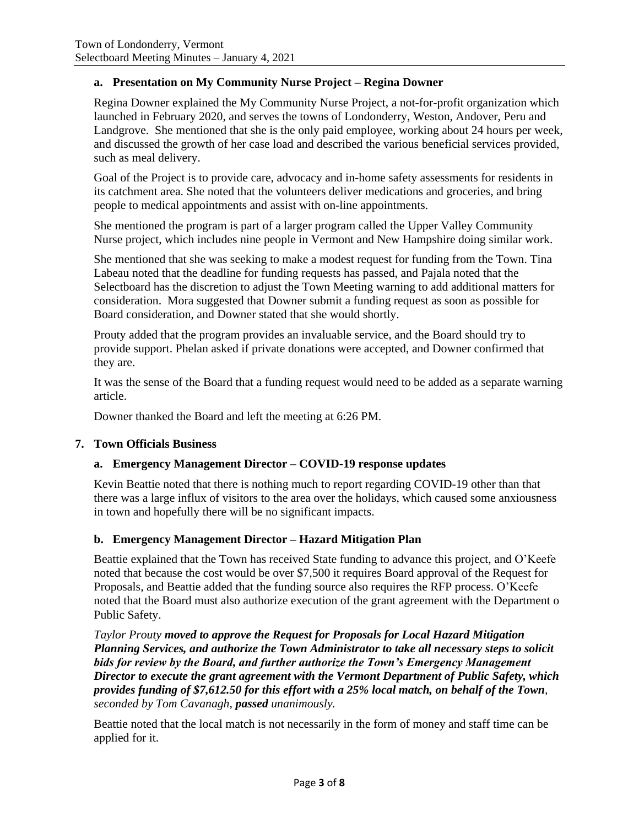### **a. Presentation on My Community Nurse Project – Regina Downer**

Regina Downer explained the My Community Nurse Project, a not-for-profit organization which launched in February 2020, and serves the towns of Londonderry, Weston, Andover, Peru and Landgrove. She mentioned that she is the only paid employee, working about 24 hours per week, and discussed the growth of her case load and described the various beneficial services provided, such as meal delivery.

Goal of the Project is to provide care, advocacy and in-home safety assessments for residents in its catchment area. She noted that the volunteers deliver medications and groceries, and bring people to medical appointments and assist with on-line appointments.

She mentioned the program is part of a larger program called the Upper Valley Community Nurse project, which includes nine people in Vermont and New Hampshire doing similar work.

She mentioned that she was seeking to make a modest request for funding from the Town. Tina Labeau noted that the deadline for funding requests has passed, and Pajala noted that the Selectboard has the discretion to adjust the Town Meeting warning to add additional matters for consideration. Mora suggested that Downer submit a funding request as soon as possible for Board consideration, and Downer stated that she would shortly.

Prouty added that the program provides an invaluable service, and the Board should try to provide support. Phelan asked if private donations were accepted, and Downer confirmed that they are.

It was the sense of the Board that a funding request would need to be added as a separate warning article.

Downer thanked the Board and left the meeting at 6:26 PM.

### **7. Town Officials Business**

### **a. Emergency Management Director – COVID-19 response updates**

Kevin Beattie noted that there is nothing much to report regarding COVID-19 other than that there was a large influx of visitors to the area over the holidays, which caused some anxiousness in town and hopefully there will be no significant impacts.

### **b. Emergency Management Director – Hazard Mitigation Plan**

Beattie explained that the Town has received State funding to advance this project, and O'Keefe noted that because the cost would be over \$7,500 it requires Board approval of the Request for Proposals, and Beattie added that the funding source also requires the RFP process. O'Keefe noted that the Board must also authorize execution of the grant agreement with the Department o Public Safety.

*Taylor Prouty moved to approve the Request for Proposals for Local Hazard Mitigation Planning Services, and authorize the Town Administrator to take all necessary steps to solicit bids for review by the Board, and further authorize the Town's Emergency Management Director to execute the grant agreement with the Vermont Department of Public Safety, which provides funding of \$7,612.50 for this effort with a 25% local match, on behalf of the Town, seconded by Tom Cavanagh, passed unanimously.*

Beattie noted that the local match is not necessarily in the form of money and staff time can be applied for it.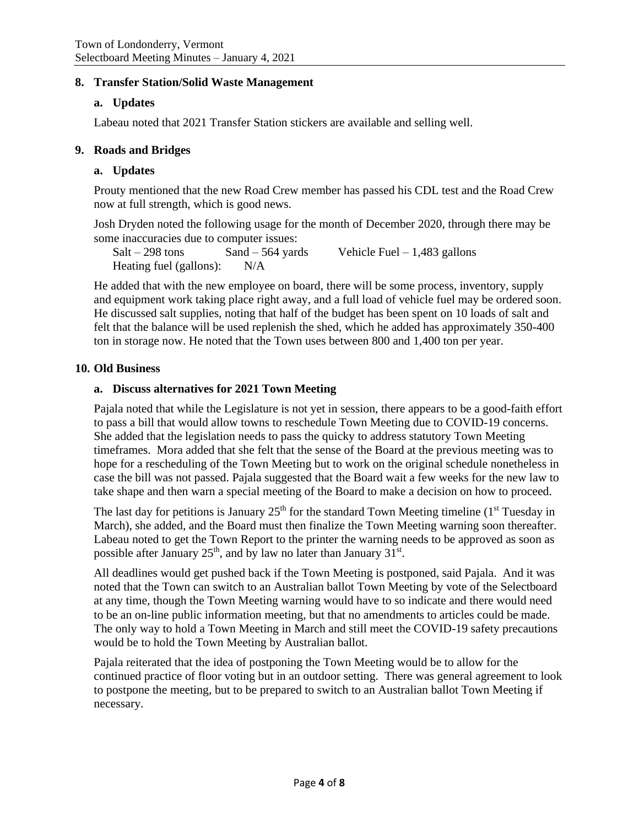### **8. Transfer Station/Solid Waste Management**

### **a. Updates**

Labeau noted that 2021 Transfer Station stickers are available and selling well.

#### **9. Roads and Bridges**

### **a. Updates**

Prouty mentioned that the new Road Crew member has passed his CDL test and the Road Crew now at full strength, which is good news.

Josh Dryden noted the following usage for the month of December 2020, through there may be some inaccuracies due to computer issues:

 $Salt - 298$  tons  $Sand - 564$  yards Vehicle Fuel – 1,483 gallons Heating fuel (gallons): N/A

He added that with the new employee on board, there will be some process, inventory, supply and equipment work taking place right away, and a full load of vehicle fuel may be ordered soon. He discussed salt supplies, noting that half of the budget has been spent on 10 loads of salt and felt that the balance will be used replenish the shed, which he added has approximately 350-400 ton in storage now. He noted that the Town uses between 800 and 1,400 ton per year.

#### **10. Old Business**

### **a. Discuss alternatives for 2021 Town Meeting**

Pajala noted that while the Legislature is not yet in session, there appears to be a good-faith effort to pass a bill that would allow towns to reschedule Town Meeting due to COVID-19 concerns. She added that the legislation needs to pass the quicky to address statutory Town Meeting timeframes. Mora added that she felt that the sense of the Board at the previous meeting was to hope for a rescheduling of the Town Meeting but to work on the original schedule nonetheless in case the bill was not passed. Pajala suggested that the Board wait a few weeks for the new law to take shape and then warn a special meeting of the Board to make a decision on how to proceed.

The last day for petitions is January  $25<sup>th</sup>$  for the standard Town Meeting timeline (1<sup>st</sup> Tuesday in March), she added, and the Board must then finalize the Town Meeting warning soon thereafter. Labeau noted to get the Town Report to the printer the warning needs to be approved as soon as possible after January  $25<sup>th</sup>$ , and by law no later than January 31<sup>st</sup>.

All deadlines would get pushed back if the Town Meeting is postponed, said Pajala. And it was noted that the Town can switch to an Australian ballot Town Meeting by vote of the Selectboard at any time, though the Town Meeting warning would have to so indicate and there would need to be an on-line public information meeting, but that no amendments to articles could be made. The only way to hold a Town Meeting in March and still meet the COVID-19 safety precautions would be to hold the Town Meeting by Australian ballot.

Pajala reiterated that the idea of postponing the Town Meeting would be to allow for the continued practice of floor voting but in an outdoor setting. There was general agreement to look to postpone the meeting, but to be prepared to switch to an Australian ballot Town Meeting if necessary.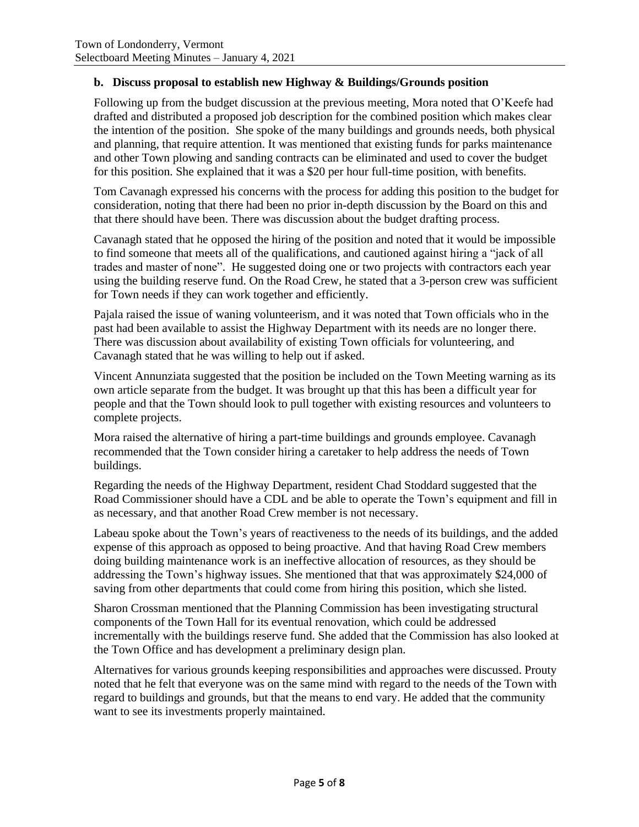### **b. Discuss proposal to establish new Highway & Buildings/Grounds position**

Following up from the budget discussion at the previous meeting, Mora noted that O'Keefe had drafted and distributed a proposed job description for the combined position which makes clear the intention of the position. She spoke of the many buildings and grounds needs, both physical and planning, that require attention. It was mentioned that existing funds for parks maintenance and other Town plowing and sanding contracts can be eliminated and used to cover the budget for this position. She explained that it was a \$20 per hour full-time position, with benefits.

Tom Cavanagh expressed his concerns with the process for adding this position to the budget for consideration, noting that there had been no prior in-depth discussion by the Board on this and that there should have been. There was discussion about the budget drafting process.

Cavanagh stated that he opposed the hiring of the position and noted that it would be impossible to find someone that meets all of the qualifications, and cautioned against hiring a "jack of all trades and master of none". He suggested doing one or two projects with contractors each year using the building reserve fund. On the Road Crew, he stated that a 3-person crew was sufficient for Town needs if they can work together and efficiently.

Pajala raised the issue of waning volunteerism, and it was noted that Town officials who in the past had been available to assist the Highway Department with its needs are no longer there. There was discussion about availability of existing Town officials for volunteering, and Cavanagh stated that he was willing to help out if asked.

Vincent Annunziata suggested that the position be included on the Town Meeting warning as its own article separate from the budget. It was brought up that this has been a difficult year for people and that the Town should look to pull together with existing resources and volunteers to complete projects.

Mora raised the alternative of hiring a part-time buildings and grounds employee. Cavanagh recommended that the Town consider hiring a caretaker to help address the needs of Town buildings.

Regarding the needs of the Highway Department, resident Chad Stoddard suggested that the Road Commissioner should have a CDL and be able to operate the Town's equipment and fill in as necessary, and that another Road Crew member is not necessary.

Labeau spoke about the Town's years of reactiveness to the needs of its buildings, and the added expense of this approach as opposed to being proactive. And that having Road Crew members doing building maintenance work is an ineffective allocation of resources, as they should be addressing the Town's highway issues. She mentioned that that was approximately \$24,000 of saving from other departments that could come from hiring this position, which she listed.

Sharon Crossman mentioned that the Planning Commission has been investigating structural components of the Town Hall for its eventual renovation, which could be addressed incrementally with the buildings reserve fund. She added that the Commission has also looked at the Town Office and has development a preliminary design plan.

Alternatives for various grounds keeping responsibilities and approaches were discussed. Prouty noted that he felt that everyone was on the same mind with regard to the needs of the Town with regard to buildings and grounds, but that the means to end vary. He added that the community want to see its investments properly maintained.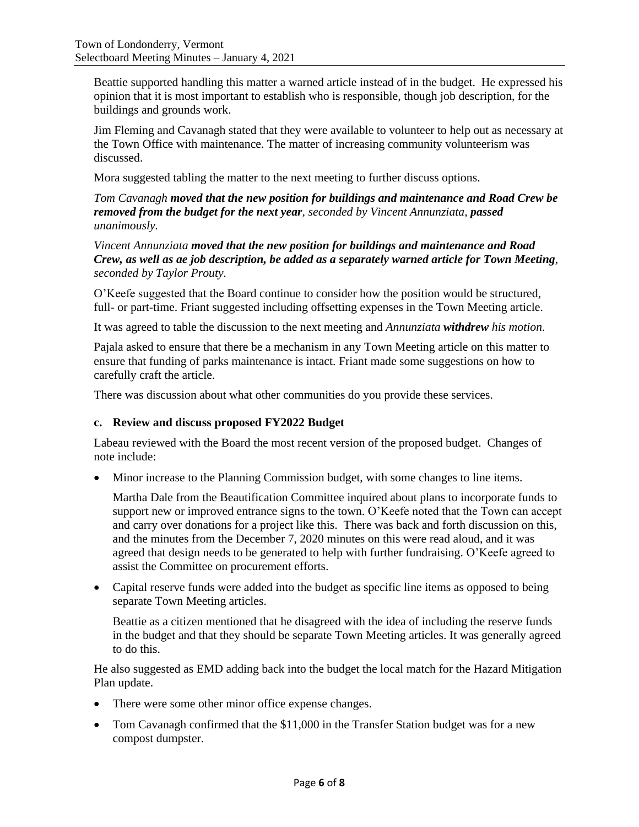Beattie supported handling this matter a warned article instead of in the budget. He expressed his opinion that it is most important to establish who is responsible, though job description, for the buildings and grounds work.

Jim Fleming and Cavanagh stated that they were available to volunteer to help out as necessary at the Town Office with maintenance. The matter of increasing community volunteerism was discussed.

Mora suggested tabling the matter to the next meeting to further discuss options.

*Tom Cavanagh moved that the new position for buildings and maintenance and Road Crew be removed from the budget for the next year, seconded by Vincent Annunziata, passed unanimously.*

*Vincent Annunziata moved that the new position for buildings and maintenance and Road Crew, as well as ae job description, be added as a separately warned article for Town Meeting, seconded by Taylor Prouty.* 

O'Keefe suggested that the Board continue to consider how the position would be structured, full- or part-time. Friant suggested including offsetting expenses in the Town Meeting article.

It was agreed to table the discussion to the next meeting and *Annunziata withdrew his motion*.

Pajala asked to ensure that there be a mechanism in any Town Meeting article on this matter to ensure that funding of parks maintenance is intact. Friant made some suggestions on how to carefully craft the article.

There was discussion about what other communities do you provide these services.

### **c. Review and discuss proposed FY2022 Budget**

Labeau reviewed with the Board the most recent version of the proposed budget. Changes of note include:

• Minor increase to the Planning Commission budget, with some changes to line items.

Martha Dale from the Beautification Committee inquired about plans to incorporate funds to support new or improved entrance signs to the town. O'Keefe noted that the Town can accept and carry over donations for a project like this. There was back and forth discussion on this, and the minutes from the December 7, 2020 minutes on this were read aloud, and it was agreed that design needs to be generated to help with further fundraising. O'Keefe agreed to assist the Committee on procurement efforts.

• Capital reserve funds were added into the budget as specific line items as opposed to being separate Town Meeting articles.

Beattie as a citizen mentioned that he disagreed with the idea of including the reserve funds in the budget and that they should be separate Town Meeting articles. It was generally agreed to do this.

He also suggested as EMD adding back into the budget the local match for the Hazard Mitigation Plan update.

- There were some other minor office expense changes.
- Tom Cavanagh confirmed that the \$11,000 in the Transfer Station budget was for a new compost dumpster.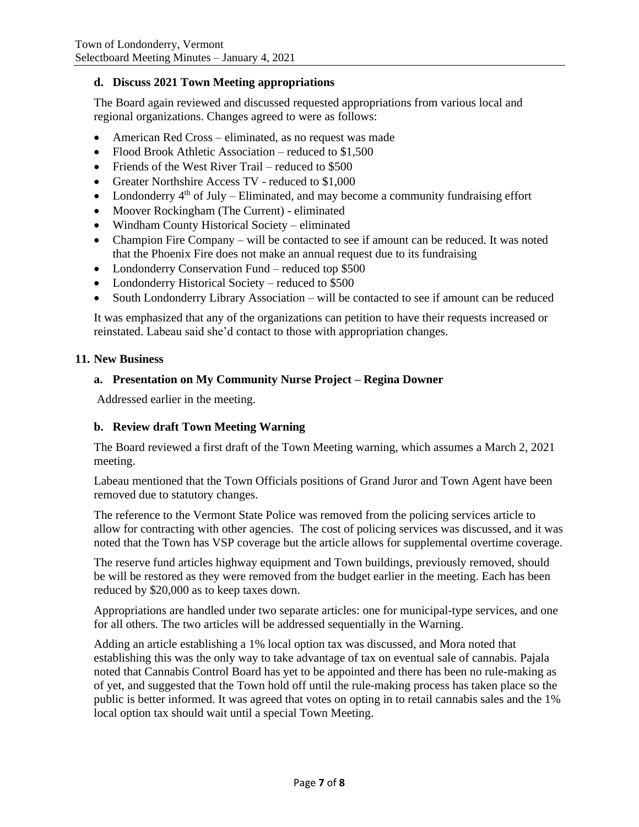### **d. Discuss 2021 Town Meeting appropriations**

The Board again reviewed and discussed requested appropriations from various local and regional organizations. Changes agreed to were as follows:

- American Red Cross eliminated, as no request was made
- Flood Brook Athletic Association reduced to \$1,500
- Friends of the West River Trail reduced to \$500
- Greater Northshire Access TV reduced to \$1,000
- Londonderry  $4<sup>th</sup>$  of July Eliminated, and may become a community fundraising effort
- Moover Rockingham (The Current) eliminated
- Windham County Historical Society eliminated
- Champion Fire Company will be contacted to see if amount can be reduced. It was noted that the Phoenix Fire does not make an annual request due to its fundraising
- Londonderry Conservation Fund reduced top \$500
- Londonderry Historical Society reduced to \$500
- South Londonderry Library Association will be contacted to see if amount can be reduced

It was emphasized that any of the organizations can petition to have their requests increased or reinstated. Labeau said she'd contact to those with appropriation changes.

#### **11. New Business**

#### **a. Presentation on My Community Nurse Project – Regina Downer**

Addressed earlier in the meeting.

### **b. Review draft Town Meeting Warning**

The Board reviewed a first draft of the Town Meeting warning, which assumes a March 2, 2021 meeting.

Labeau mentioned that the Town Officials positions of Grand Juror and Town Agent have been removed due to statutory changes.

The reference to the Vermont State Police was removed from the policing services article to allow for contracting with other agencies. The cost of policing services was discussed, and it was noted that the Town has VSP coverage but the article allows for supplemental overtime coverage.

The reserve fund articles highway equipment and Town buildings, previously removed, should be will be restored as they were removed from the budget earlier in the meeting. Each has been reduced by \$20,000 as to keep taxes down.

Appropriations are handled under two separate articles: one for municipal-type services, and one for all others. The two articles will be addressed sequentially in the Warning.

Adding an article establishing a 1% local option tax was discussed, and Mora noted that establishing this was the only way to take advantage of tax on eventual sale of cannabis. Pajala noted that Cannabis Control Board has yet to be appointed and there has been no rule-making as of yet, and suggested that the Town hold off until the rule-making process has taken place so the public is better informed. It was agreed that votes on opting in to retail cannabis sales and the 1% local option tax should wait until a special Town Meeting.